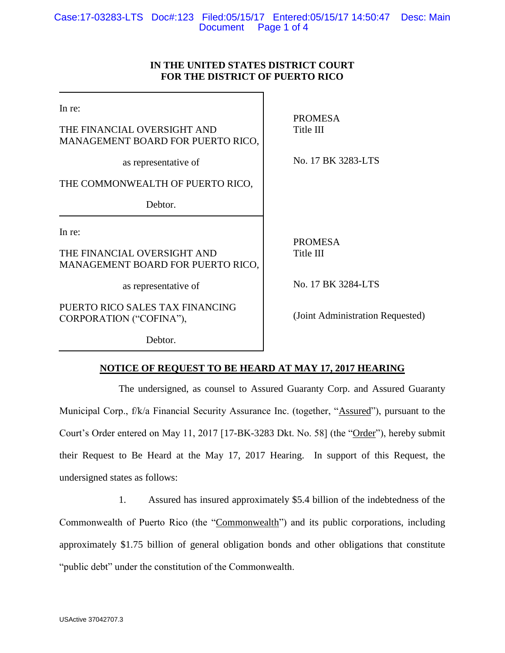# **IN THE UNITED STATES DISTRICT COURT FOR THE DISTRICT OF PUERTO RICO**

In re:

THE FINANCIAL OVERSIGHT AND MANAGEMENT BOARD FOR PUERTO RICO,

as representative of

THE COMMONWEALTH OF PUERTO RICO,

Debtor.

In re:

THE FINANCIAL OVERSIGHT AND MANAGEMENT BOARD FOR PUERTO RICO,

as representative of

PUERTO RICO SALES TAX FINANCING CORPORATION ("COFINA"),

Debtor.

PROMESA Title III

No. 17 BK 3283-LTS

PROMESA Title III

No. 17 BK 3284-LTS

(Joint Administration Requested)

**NOTICE OF REQUEST TO BE HEARD AT MAY 17, 2017 HEARING**

The undersigned, as counsel to Assured Guaranty Corp. and Assured Guaranty Municipal Corp., f/k/a Financial Security Assurance Inc. (together, "Assured"), pursuant to the Court's Order entered on May 11, 2017 [17-BK-3283 Dkt. No. 58] (the "Order"), hereby submit their Request to Be Heard at the May 17, 2017 Hearing. In support of this Request, the undersigned states as follows:

1. Assured has insured approximately \$5.4 billion of the indebtedness of the Commonwealth of Puerto Rico (the "Commonwealth") and its public corporations, including approximately \$1.75 billion of general obligation bonds and other obligations that constitute "public debt" under the constitution of the Commonwealth.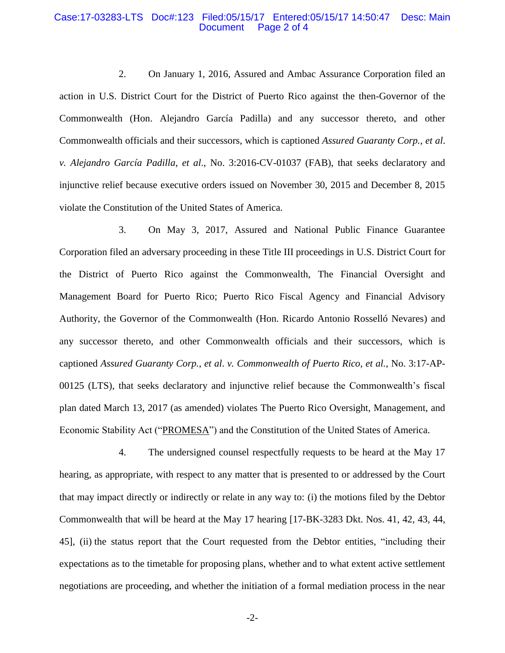#### Case:17-03283-LTS Doc#:123 Filed:05/15/17 Entered:05/15/17 14:50:47 Desc: Main Page 2 of 4

2. On January 1, 2016, Assured and Ambac Assurance Corporation filed an action in U.S. District Court for the District of Puerto Rico against the then-Governor of the Commonwealth (Hon. Alejandro García Padilla) and any successor thereto, and other Commonwealth officials and their successors, which is captioned *Assured Guaranty Corp.*, *et al*. *v. Alejandro García Padilla*, *et al*., No. 3:2016-CV-01037 (FAB), that seeks declaratory and injunctive relief because executive orders issued on November 30, 2015 and December 8, 2015 violate the Constitution of the United States of America.

3. On May 3, 2017, Assured and National Public Finance Guarantee Corporation filed an adversary proceeding in these Title III proceedings in U.S. District Court for the District of Puerto Rico against the Commonwealth, The Financial Oversight and Management Board for Puerto Rico; Puerto Rico Fiscal Agency and Financial Advisory Authority, the Governor of the Commonwealth (Hon. Ricardo Antonio Rosselló Nevares) and any successor thereto, and other Commonwealth officials and their successors, which is captioned *Assured Guaranty Corp.*, *et al*. *v. Commonwealth of Puerto Rico, et al.*, No. 3:17-AP-00125 (LTS), that seeks declaratory and injunctive relief because the Commonwealth's fiscal plan dated March 13, 2017 (as amended) violates The Puerto Rico Oversight, Management, and Economic Stability Act ("PROMESA") and the Constitution of the United States of America.

4. The undersigned counsel respectfully requests to be heard at the May 17 hearing, as appropriate, with respect to any matter that is presented to or addressed by the Court that may impact directly or indirectly or relate in any way to: (i) the motions filed by the Debtor Commonwealth that will be heard at the May 17 hearing [17-BK-3283 Dkt. Nos. 41, 42, 43, 44, 45], (ii) the status report that the Court requested from the Debtor entities, "including their expectations as to the timetable for proposing plans, whether and to what extent active settlement negotiations are proceeding, and whether the initiation of a formal mediation process in the near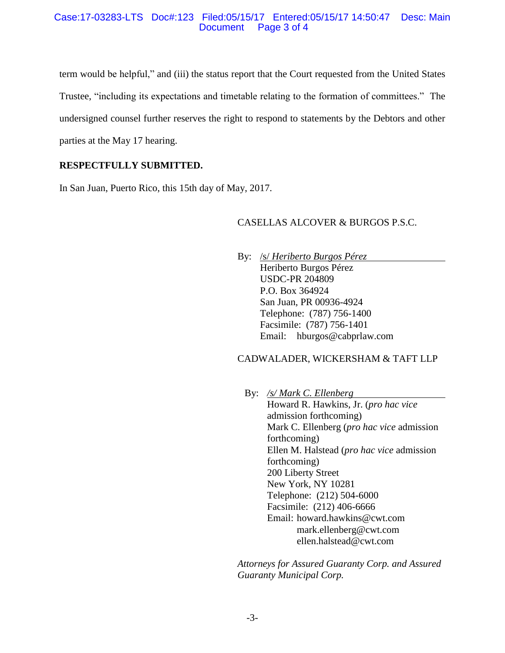#### Case:17-03283-LTS Doc#:123 Filed:05/15/17 Entered:05/15/17 14:50:47 Desc: Main Document Page 3 of 4

term would be helpful," and (iii) the status report that the Court requested from the United States Trustee, "including its expectations and timetable relating to the formation of committees." The undersigned counsel further reserves the right to respond to statements by the Debtors and other parties at the May 17 hearing.

# **RESPECTFULLY SUBMITTED.**

In San Juan, Puerto Rico, this 15th day of May, 2017.

# CASELLAS ALCOVER & BURGOS P.S.C.

By: /s/ *Heriberto Burgos Pérez* Heriberto Burgos Pérez USDC-PR 204809 P.O. Box 364924 San Juan, PR 00936-4924 Telephone: (787) 756-1400 Facsimile: (787) 756-1401 Email: hburgos@cabprlaw.com

# CADWALADER, WICKERSHAM & TAFT LLP

By: */s/ Mark C. Ellenberg* Howard R. Hawkins, Jr. (*pro hac vice* admission forthcoming) Mark C. Ellenberg (*pro hac vice* admission forthcoming) Ellen M. Halstead (*pro hac vice* admission forthcoming) 200 Liberty Street New York, NY 10281 Telephone: (212) 504-6000 Facsimile: (212) 406-6666 Email: howard.hawkins@cwt.com mark.ellenberg@cwt.com ellen.halstead@cwt.com

*Attorneys for Assured Guaranty Corp. and Assured Guaranty Municipal Corp.*